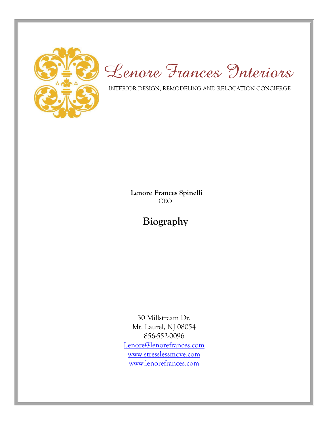

*Lenore Frances Interiors*

INTERIOR DESIGN, REMODELING AND RELOCATION CONCIERGE

 **Lenore Frances Spinelli** CEO

**Biography**

30 Millstream Dr. Mt. Laurel, NJ 08054 856-552-0096 [Lenore@lenorefrances.com](mailto:Lenore@lenorefrances.com) [www.stresslessmove.com](http://www.stresslessmove.com/) [www.lenorefrances.com](http://www.lenorefrances.com/)